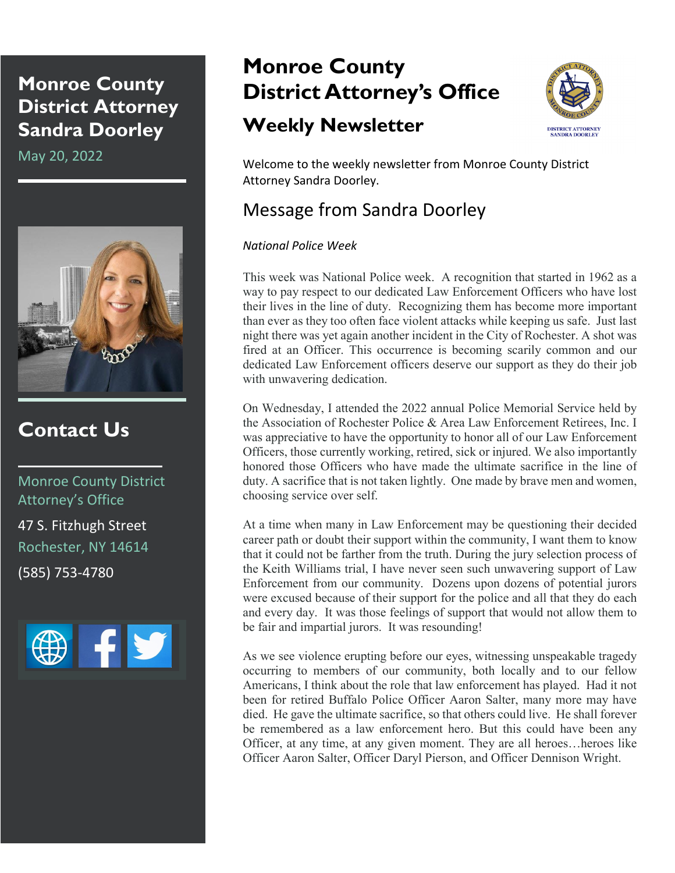### **Monroe County District Attorney Sandra Doorley**

May 20, 2022



### **Contact Us**

Monroe County District Attorney's Office 47 S. Fitzhugh Street Rochester, NY 14614 (585) 753-4780



# **Monroe County District Attorney's Office**

## **Weekly Newsletter**



Welcome to the weekly newsletter from Monroe County District Attorney Sandra Doorley.

### Message from Sandra Doorley

#### *National Police Week*

This week was National Police week. A recognition that started in 1962 as a way to pay respect to our dedicated Law Enforcement Officers who have lost their lives in the line of duty. Recognizing them has become more important than ever as they too often face violent attacks while keeping us safe. Just last night there was yet again another incident in the City of Rochester. A shot was fired at an Officer. This occurrence is becoming scarily common and our dedicated Law Enforcement officers deserve our support as they do their job with unwavering dedication.

On Wednesday, I attended the 2022 annual Police Memorial Service held by the Association of Rochester Police & Area Law Enforcement Retirees, Inc. I was appreciative to have the opportunity to honor all of our Law Enforcement Officers, those currently working, retired, sick or injured. We also importantly honored those Officers who have made the ultimate sacrifice in the line of duty. A sacrifice that is not taken lightly. One made by brave men and women, choosing service over self.

At a time when many in Law Enforcement may be questioning their decided career path or doubt their support within the community, I want them to know that it could not be farther from the truth. During the jury selection process of the Keith Williams trial, I have never seen such unwavering support of Law Enforcement from our community. Dozens upon dozens of potential jurors were excused because of their support for the police and all that they do each and every day. It was those feelings of support that would not allow them to be fair and impartial jurors. It was resounding!

As we see violence erupting before our eyes, witnessing unspeakable tragedy occurring to members of our community, both locally and to our fellow Americans, I think about the role that law enforcement has played. Had it not been for retired Buffalo Police Officer Aaron Salter, many more may have died. He gave the ultimate sacrifice, so that others could live. He shall forever be remembered as a law enforcement hero. But this could have been any Officer, at any time, at any given moment. They are all heroes…heroes like Officer Aaron Salter, Officer Daryl Pierson, and Officer Dennison Wright.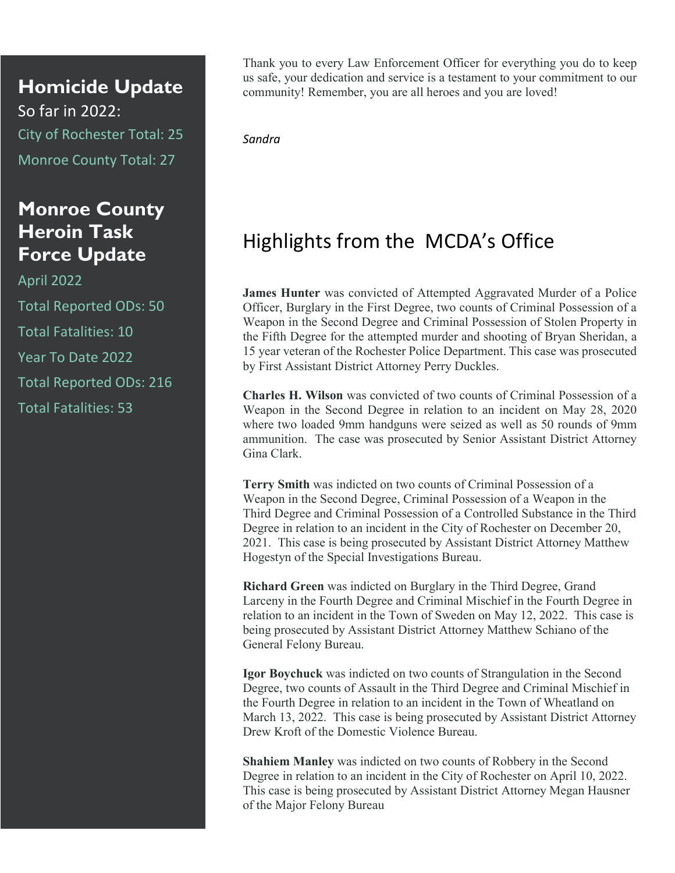**Homicide Update** So far in 2022: City of Rochester Total: 25 Monroe County Total: 27

### **Monroe County Heroin Task Force Update**

April 2022 Total Reported ODs: 50 Total Fatalities: 10 Year To Date 2022 Total Reported ODs: 216 Total Fatalities: 53

Thank you to every Law Enforcement Officer for everything you do to keep us safe, your dedication and service is a testament to your commitment to our community! Remember, you are all heroes and you are loved!

*Sandra*

## Highlights from the MCDA's Office

**James Hunter** was convicted of Attempted Aggravated Murder of a Police Officer, Burglary in the First Degree, two counts of Criminal Possession of a Weapon in the Second Degree and Criminal Possession of Stolen Property in the Fifth Degree for the attempted murder and shooting of Bryan Sheridan, a 15 year veteran of the Rochester Police Department. This case was prosecuted by First Assistant District Attorney Perry Duckles.

**Charles H. Wilson** was convicted of two counts of Criminal Possession of a Weapon in the Second Degree in relation to an incident on May 28, 2020 where two loaded 9mm handguns were seized as well as 50 rounds of 9mm ammunition. The case was prosecuted by Senior Assistant District Attorney Gina Clark.

**Terry Smith** was indicted on two counts of Criminal Possession of a Weapon in the Second Degree, Criminal Possession of a Weapon in the Third Degree and Criminal Possession of a Controlled Substance in the Third Degree in relation to an incident in the City of Rochester on December 20, 2021. This case is being prosecuted by Assistant District Attorney Matthew Hogestyn of the Special Investigations Bureau.

**Richard Green** was indicted on Burglary in the Third Degree, Grand Larceny in the Fourth Degree and Criminal Mischief in the Fourth Degree in relation to an incident in the Town of Sweden on May 12, 2022. This case is being prosecuted by Assistant District Attorney Matthew Schiano of the General Felony Bureau.

**Igor Boychuck** was indicted on two counts of Strangulation in the Second Degree, two counts of Assault in the Third Degree and Criminal Mischief in the Fourth Degree in relation to an incident in the Town of Wheatland on March 13, 2022. This case is being prosecuted by Assistant District Attorney Drew Kroft of the Domestic Violence Bureau.

**Shahiem Manley** was indicted on two counts of Robbery in the Second Degree in relation to an incident in the City of Rochester on April 10, 2022. This case is being prosecuted by Assistant District Attorney Megan Hausner of the Major Felony Bureau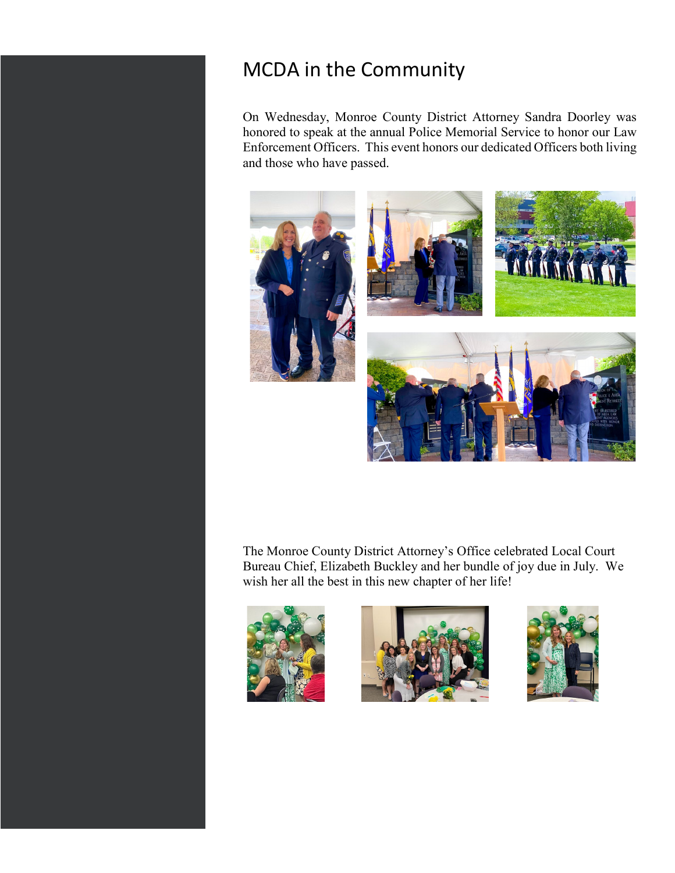### MCDA in the Community

On Wednesday, Monroe County District Attorney Sandra Doorley was honored to speak at the annual Police Memorial Service to honor our Law Enforcement Officers. This event honors our dedicated Officers both living and those who have passed.



The Monroe County District Attorney's Office celebrated Local Court Bureau Chief, Elizabeth Buckley and her bundle of joy due in July. We wish her all the best in this new chapter of her life!